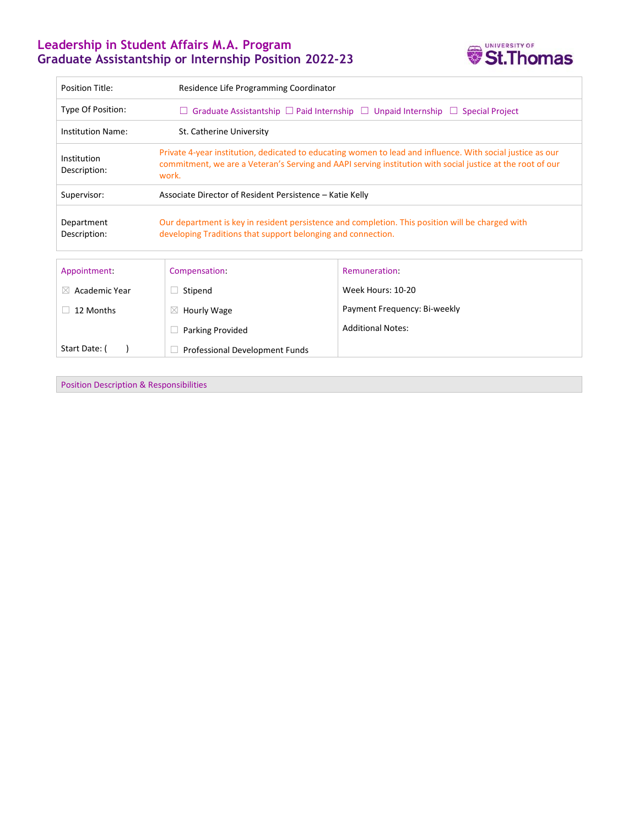# **Leadership in Student Affairs M.A. Program Graduate Assistantship or Internship Position 2022-23**



| <b>Position Title:</b>      | Residence Life Programming Coordinator                                                                                                                                                                                            |                              |
|-----------------------------|-----------------------------------------------------------------------------------------------------------------------------------------------------------------------------------------------------------------------------------|------------------------------|
| Type Of Position:           | $\Box$ Graduate Assistantship $\Box$ Paid Internship $\Box$ Unpaid Internship $\Box$ Special Project                                                                                                                              |                              |
| <b>Institution Name:</b>    | St. Catherine University                                                                                                                                                                                                          |                              |
| Institution<br>Description: | Private 4-year institution, dedicated to educating women to lead and influence. With social justice as our<br>commitment, we are a Veteran's Serving and AAPI serving institution with social justice at the root of our<br>work. |                              |
| Supervisor:                 | Associate Director of Resident Persistence – Katie Kelly                                                                                                                                                                          |                              |
| Department<br>Description:  | Our department is key in resident persistence and completion. This position will be charged with<br>developing Traditions that support belonging and connection.                                                                  |                              |
| Appointment:                | Compensation:                                                                                                                                                                                                                     | Remuneration:                |
| Academic Year<br>$\bowtie$  | Stipend                                                                                                                                                                                                                           | Week Hours: 10-20            |
| 12 Months                   | Hourly Wage<br>$\boxtimes$                                                                                                                                                                                                        | Payment Frequency: Bi-weekly |
|                             | <b>Parking Provided</b>                                                                                                                                                                                                           | <b>Additional Notes:</b>     |
| Start Date: (               | Professional Development Funds                                                                                                                                                                                                    |                              |

Position Description & Responsibilities